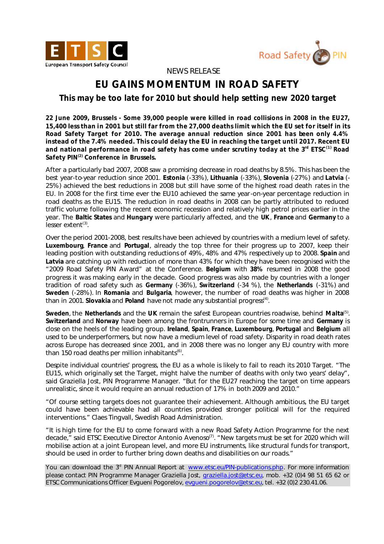



 *NEWS RELEASE*

## **EU GAINS MOMENTUM IN ROAD SAFETY**

*This may be too late for 2010 but should help setting new 2020 target*

*22 June 2009, Brussels -* **Some 39,000 people were killed in road collisions in 2008 in the EU27, 15,400 less than in 2001 but still far from the 27,000 deaths limit which the EU set for itself in its Road Safety Target for 2010. The average annual reduction since 2001 has been only 4.4% instead of the 7.4% needed. This could delay the EU in reaching the target until 2017. Recent EU and national performance in road safety has come under scrutiny today at the 3rd ETSC(1) Road Safety PIN(2) Conference in Brussels.**

After a particularly bad 2007, 2008 saw a promising decrease in road deaths by 8.5%. This has been the best year-to-year reduction since 2001. **Estonia** (-33%), **Lithuania** (-33%), **Slovenia** (-27%) and **Latvia** (- 25%) achieved the best reductions in 2008 but still have some of the highest road death rates in the EU. In 2008 for the first time ever the EU10 achieved the same year-on-year percentage reduction in road deaths as the EU15. The reduction in road deaths in 2008 can be partly attributed to reduced traffic volume following the recent economic recession and relatively high petrol prices earlier in the year. The **Baltic States** and **Hungary** were particularly affected, and the **UK**, **France** and **Germany** to a lesser extent<sup>(3)</sup>.

Over the period 2001-2008, best results have been achieved by countries with a medium level of safety. **Luxembourg**, **France** and **Portugal**, already the top three for their progress up to 2007, keep their leading position with outstanding reductions of 49%, 48% and 47% respectively up to 2008. **Spain** and **Latvia** are catching up with reduction of more than 43% for which they have been recognised with the "2009 Road Safety PIN Award" at the Conference. **Belgium** with **38%** resumed in 2008 the good progress it was making early in the decade. Good progress was also made by countries with a longer tradition of road safety such as **Germany** (-36%), **Switzerland** (-34 %), the **Netherlands** (-31%) and **Sweden** (-28%). In **Romania** and **Bulgaria**, however, the number of road deaths was higher in 2008 than in 2001. Slovakia and Poland have not made any substantial progress<sup>(4)</sup>.

**Sweden**, the **Netherlands** and the **UK** remain the safest European countries roadwise, behind **Malta**(5) . **Switzerland** and **Norway** have been among the frontrunners in Europe for some time and **Germany** is close on the heels of the leading group. **Ireland**, **Spain**, **France**, **Luxembourg**, **Portugal** and **Belgium** all used to be underperformers, but now have a medium level of road safety. Disparity in road death rates across Europe has decreased since 2001, and in 2008 there was no longer any EU country with more than 150 road deaths per million inhabitants<sup>(6)</sup>.

Despite individual countries' progress, the EU as a whole is likely to fail to reach its 2010 Target. *"The EU15, which originally set the Target, might halve the number of deaths with only two years' delay",*  said Graziella Jost, PIN Programme Manager. "*But for the EU27 reaching the target on time appears unrealistic, since it would require an annual reduction of 17% in both 2009 and 2010."*

*"Of course setting targets does not guarantee their achievement. Although ambitious, the EU target could have been achievable had all countries provided stronger political will for the required interventions."* Claes Tingvall, Swedish Road Administration.

*"It is high time for the EU to come forward with a new Road Safety Action Programme for the next*  decade," said ETSC Executive Director Antonio Avenoso<sup>(7)</sup>. "New targets must be set for 2020 which will *mobilise action at a joint European level, and more EU instruments, like structural funds for transport, should be used in order to further bring down deaths and disabilities on our roads."*

You can download the 3<sup>d</sup> PIN Annual Report at www.etsc.eu/PIN-publications.php. For more information please contact PIN Programme Manager Graziella Jost, graziella.jost@etsc.eu, mob. +32 (0)4 98 51 65 62 or ETSC Communications Officer Evgueni Pogorelov, evgueni.pogorelov@etsc.eu, tel. +32 (0)2 230.41.06.